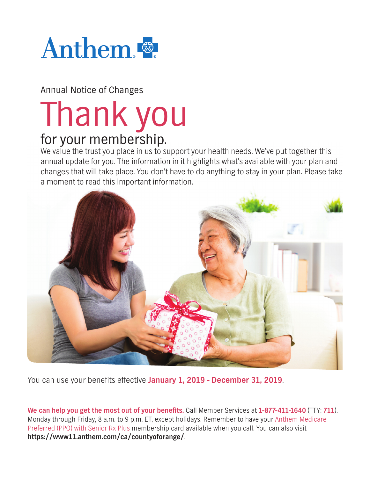

Annual Notice of Changes

# Thank you for your membership.

We value the trust you place in us to support your health needs. We've put together this annual update for you. The information in it highlights what's available with your plan and changes that will take place. You don't have to do anything to stay in your plan. Please take a moment to read this important information.



You can use your benefits effective January 1, 2019 - December 31, 2019.

**We can help you get the most out of your benefits.** Call Member Services at 1-877-411-1640 (TTY: 711), Monday through Friday, 8 a.m. to 9 p.m. ET, except holidays. Remember to have your Anthem Medicare Preferred (PPO) with Senior Rx Plus membership card available when you call. You can also visit **https://www11.anthem.com/ca/countyoforange/**.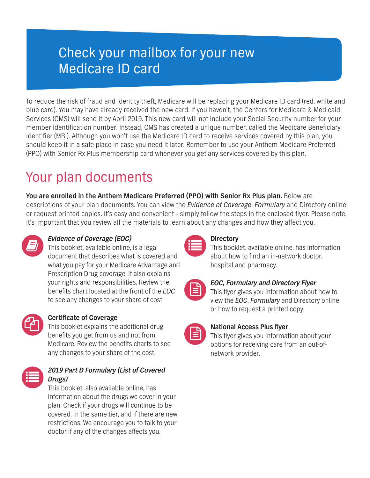### Check your mailbox for your new Medicare ID card

To reduce the risk of fraud and identity theft, Medicare will be replacing your Medicare ID card (red, white and blue card). You may have already received the new card. If you haven't, the Centers for Medicare & Medicaid Services (CMS) will send it by April 2019. This new card will not include your Social Security number for your member identification number. Instead, CMS has created a unique number, called the Medicare Beneficiary Identifier (MBI). Although you won't use the Medicare ID card to receive services covered by this plan, you should keep it in a safe place in case you need it later. Remember to use your Anthem Medicare Preferred (PPO) with Senior Rx Plus membership card whenever you get any services covered by this plan.

## Your plan documents

**You are enrolled in the Anthem Medicare Preferred (PPO) with Senior Rx Plus plan.** Below are descriptions of your plan documents. You can view the *Evidence of Coverage*, *Formulary* and Directory online or request printed copies. It's easy and convenient – simply follow the steps in the enclosed flyer. Please note, it's important that you review all the materials to learn about any changes and how they affect you.



### *Evidence of Coverage (EOC)*

This booklet, available online, is a legal document that describes what is covered and what you pay for your Medicare Advantage and Prescription Drug coverage. It also explains your rights and responsibilities. Review the benefits chart located at the front of the *EOC* to see any changes to your share of cost.



#### **Certificate of Coverage**

This booklet explains the additional drug benefits you get from us and not from Medicare. Review the benefits charts to see any changes to your share of the cost.



#### *2019 Part D Formulary (List of Covered Drugs)*

This booklet, also available online, has information about the drugs we cover in your plan. Check if your drugs will continue to be covered, in the same tier, and if there are new restrictions. We encourage you to talk to your doctor if any of the changes affects you.



#### **Directory**

This booklet, available online, has information about how to find an in-network doctor, hospital and pharmacy.

| ___       |
|-----------|
| ___<br>__ |
|           |
|           |

#### *EOC, Formulary and Directory Flyer*

This flyer gives you information about how to view the *EOC*, *Formulary* and Directory online or how to request a printed copy.



#### **National Access Plus flyer**

This flyer gives you information about your options for receiving care from an out-ofnetwork provider.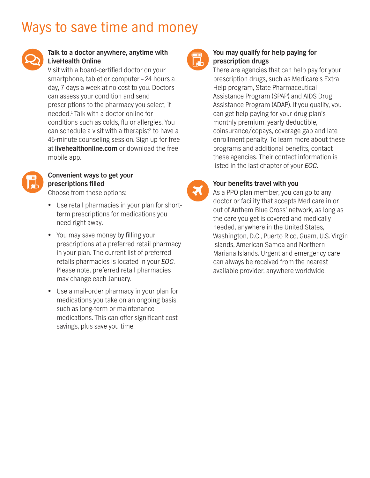### Ways to save time and money



#### **Talk to a doctor anywhere, anytime with LiveHealth Online**

Visit with a board-certified doctor on your smartphone, tablet or computer – 24 hours a day, 7 days a week at no cost to you. Doctors can assess your condition and send prescriptions to the pharmacy you select, if needed.1 Talk with a doctor online for conditions such as colds, flu or allergies. You can schedule a visit with a therapist<sup>2</sup> to have a 45-minute counseling session. Sign up for free at **[livehealthonline.com](http://livehealthonline.com)** or download the free mobile app.



#### **Convenient ways to get your prescriptions filled**

Choose from these options:

- Use retail pharmacies in your plan for shortterm prescriptions for medications you need right away.
- You may save money by filling your prescriptions at a preferred retail pharmacy in your plan. The current list of preferred retails pharmacies is located in your *EOC*. Please note, preferred retail pharmacies may change each January.
- Use a mail-order pharmacy in your plan for medications you take on an ongoing basis, such as long-term or maintenance medications. This can offer significant cost savings, plus save you time.



 $\boldsymbol{X}$ 

#### **You may qualify for help paying for prescription drugs**

There are agencies that can help pay for your prescription drugs, such as Medicare's Extra Help program, State Pharmaceutical Assistance Program (SPAP) and AIDS Drug Assistance Program (ADAP). If you qualify, you can get help paying for your drug plan's monthly premium, yearly deductible, coinsurance/copays, coverage gap and late enrollment penalty. To learn more about these programs and additional benefits, contact these agencies. Their contact information is listed in the last chapter of your *EOC*.

#### **Your benefits travel with you**

As a PPO plan member, you can go to any doctor or facility that accepts Medicare in or out of Anthem Blue Cross' network, as long as the care you get is covered and medically needed, anywhere in the United States, Washington, D.C., Puerto Rico, Guam, U.S. Virgin Islands, American Samoa and Northern Mariana Islands. Urgent and emergency care can always be received from the nearest available provider, anywhere worldwide.